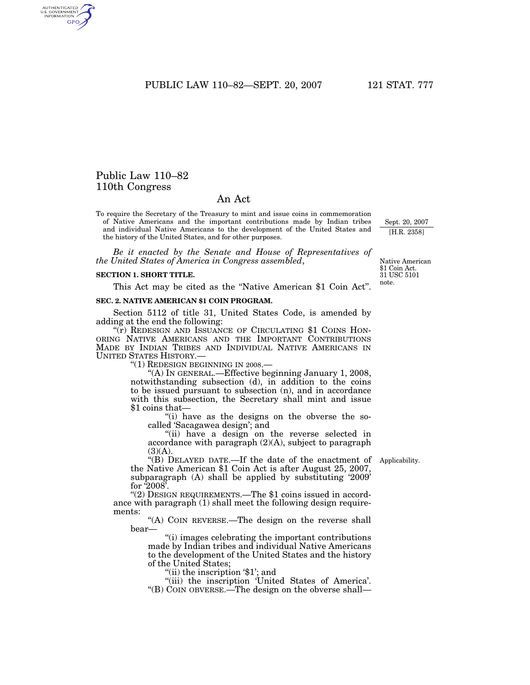PUBLIC LAW 110–82—SEPT. 20, 2007 121 STAT. 777

# Public Law 110–82 110th Congress

AUTHENTICATED<br>U.S. GOVERNMENT<br>INFORMATION GPO

# An Act

To require the Secretary of the Treasury to mint and issue coins in commemoration of Native Americans and the important contributions made by Indian tribes and individual Native Americans to the development of the United States and the history of the United States, and for other purposes.

*Be it enacted by the Senate and House of Representatives of the United States of America in Congress assembled*,

### **SECTION 1. SHORT TITLE.**

This Act may be cited as the "Native American \$1 Coin Act".

#### **SEC. 2. NATIVE AMERICAN \$1 COIN PROGRAM.**

Section 5112 of title 31, United States Code, is amended by adding at the end the following:

" $(\tilde{r})$  REDESIGN AND ISSUANCE OF CIRCULATING \$1 COINS HON-ORING NATIVE AMERICANS AND THE IMPORTANT CONTRIBUTIONS MADE BY INDIAN TRIBES AND INDIVIDUAL NATIVE AMERICANS IN UNITED STATES HISTORY.—

''(1) REDESIGN BEGINNING IN 2008.—

''(A) IN GENERAL.—Effective beginning January 1, 2008, notwithstanding subsection (d), in addition to the coins to be issued pursuant to subsection (n), and in accordance with this subsection, the Secretary shall mint and issue \$1 coins that—

''(i) have as the designs on the obverse the socalled 'Sacagawea design'; and

''(ii) have a design on the reverse selected in accordance with paragraph (2)(A), subject to paragraph  $(3)(A).$ 

''(B) DELAYED DATE.—If the date of the enactment of Applicability. the Native American \$1 Coin Act is after August 25, 2007, subparagraph (A) shall be applied by substituting '2009' for '2008'.

"(2) DESIGN REQUIREMENTS.—The \$1 coins issued in accordance with paragraph (1) shall meet the following design requirements:

"(A) COIN REVERSE.—The design on the reverse shall bear—

''(i) images celebrating the important contributions made by Indian tribes and individual Native Americans to the development of the United States and the history of the United States;

"(ii) the inscription '\$1'; and

"(iii) the inscription 'United States of America'. ''(B) COIN OBVERSE.—The design on the obverse shall—

Native American \$1 Coin Act. 31 USC 5101 note.

Sept. 20, 2007

[H.R. 2358]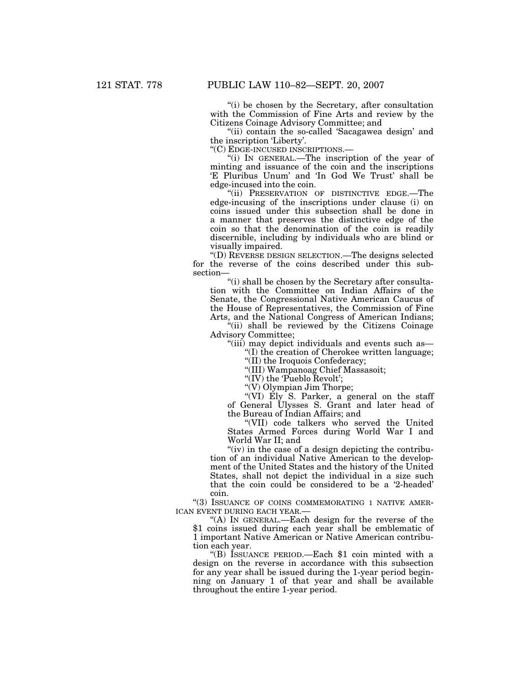''(i) be chosen by the Secretary, after consultation with the Commission of Fine Arts and review by the Citizens Coinage Advisory Committee; and

"(ii) contain the so-called 'Sacagawea design' and the inscription 'Liberty'.

''(C) EDGE-INCUSED INSCRIPTIONS.—

''(i) IN GENERAL.—The inscription of the year of minting and issuance of the coin and the inscriptions 'E Pluribus Unum' and 'In God We Trust' shall be edge-incused into the coin.

''(ii) PRESERVATION OF DISTINCTIVE EDGE.—The edge-incusing of the inscriptions under clause (i) on coins issued under this subsection shall be done in a manner that preserves the distinctive edge of the coin so that the denomination of the coin is readily discernible, including by individuals who are blind or visually impaired.

''(D) REVERSE DESIGN SELECTION.—The designs selected for the reverse of the coins described under this subsection—

''(i) shall be chosen by the Secretary after consultation with the Committee on Indian Affairs of the Senate, the Congressional Native American Caucus of the House of Representatives, the Commission of Fine Arts, and the National Congress of American Indians;

''(ii) shall be reviewed by the Citizens Coinage Advisory Committee;

"(iii) may depict individuals and events such as—

''(I) the creation of Cherokee written language;

''(II) the Iroquois Confederacy;

''(III) Wampanoag Chief Massasoit;

''(IV) the 'Pueblo Revolt';

''(V) Olympian Jim Thorpe;

"(VI) Ely'S. Parker, a general on the staff of General Ulysses S. Grant and later head of the Bureau of Indian Affairs; and

''(VII) code talkers who served the United States Armed Forces during World War I and World War II; and

" $(iv)$  in the case of a design depicting the contribution of an individual Native American to the development of the United States and the history of the United States, shall not depict the individual in a size such that the coin could be considered to be a '2-headed' coin.

"(3) ISSUANCE OF COINS COMMEMORATING 1 NATIVE AMER-ICAN EVENT DURING EACH YEAR.-

"(A) In GENERAL.—Each design for the reverse of the \$1 coins issued during each year shall be emblematic of 1 important Native American or Native American contribution each year.

''(B) ISSUANCE PERIOD.—Each \$1 coin minted with a design on the reverse in accordance with this subsection for any year shall be issued during the 1-year period beginning on January 1 of that year and shall be available throughout the entire 1-year period.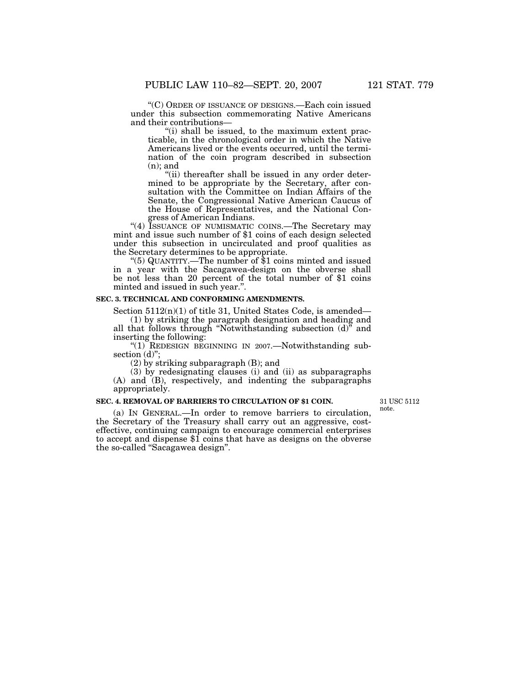''(C) ORDER OF ISSUANCE OF DESIGNS.—Each coin issued under this subsection commemorating Native Americans and their contributions—

"(i) shall be issued, to the maximum extent practicable, in the chronological order in which the Native Americans lived or the events occurred, until the termination of the coin program described in subsection (n); and

"(ii) thereafter shall be issued in any order determined to be appropriate by the Secretary, after consultation with the Committee on Indian Affairs of the Senate, the Congressional Native American Caucus of the House of Representatives, and the National Congress of American Indians.<br>"(4) ISSUANCE OF NUMISMATIC COINS.—The Secretary may

mint and issue such number of \$1 coins of each design selected under this subsection in uncirculated and proof qualities as the Secretary determines to be appropriate.

"(5) QUANTITY.—The number of  $$1 \text{ coins minted and issued}$ in a year with the Sacagawea-design on the obverse shall be not less than 20 percent of the total number of \$1 coins minted and issued in such year.''.

## **SEC. 3. TECHNICAL AND CONFORMING AMENDMENTS.**

Section  $5112(n)(1)$  of title 31, United States Code, is amended—

(1) by striking the paragraph designation and heading and all that follows through "Notwithstanding subsection  $(d)$ " and inserting the following:

"(1) REDESIGN BEGINNING IN 2007.—Notwithstanding subsection (d)";

(2) by striking subparagraph (B); and

(3) by redesignating clauses (i) and (ii) as subparagraphs (A) and (B), respectively, and indenting the subparagraphs appropriately.

#### **SEC. 4. REMOVAL OF BARRIERS TO CIRCULATION OF \$1 COIN.**

31 USC 5112 note.

(a) IN GENERAL.—In order to remove barriers to circulation, the Secretary of the Treasury shall carry out an aggressive, costeffective, continuing campaign to encourage commercial enterprises to accept and dispense \$1 coins that have as designs on the obverse the so-called ''Sacagawea design''.